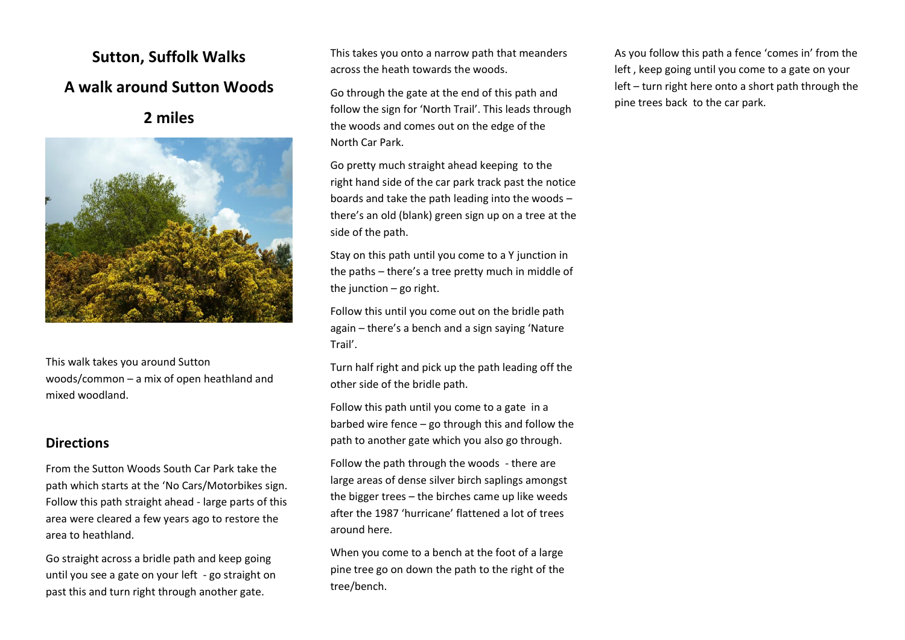## **Sutton, Suffolk Walks A walk around Sutton Woods**

**2 miles**



This walk takes you around Sutton woods/common – a mix of open heathland and mixed woodland.

## **Directions**

From the Sutton Woods South Car Park take the path which starts at the 'No Cars/Motorbikes sign. Follow this path straight ahead - large parts of this area were cleared a few years ago to restore the area to heathland.

Go straight across a bridle path and keep going until you see a gate on your left - go straight on past this and turn right through another gate.

This takes you onto a narrow path that meanders across the heath towards the woods.

Go through the gate at the end of this path and follow the sign for 'North Trail'. This leads through the woods and comes out on the edge of the North Car Park.

Go pretty much straight ahead keeping to the right hand side of the car park track past the notice boards and take the path leading into the woods – there's an old (blank) green sign up on a tree at the side of the path.

Stay on this path until you come to a Y junction in the paths – there's a tree pretty much in middle of the junction  $-$  go right.

Follow this until you come out on the bridle path again – there's a bench and a sign saying 'Nature Trail'.

Turn half right and pick up the path leading off the other side of the bridle path.

Follow this path until you come to a gate in a barbed wire fence – go through this and follow the path to another gate which you also go through.

Follow the path through the woods - there are large areas of dense silver birch saplings amongst the bigger trees – the birches came up like weeds after the 1987 'hurricane' flattened a lot of trees around here.

When you come to a bench at the foot of a large pine tree go on down the path to the right of the tree/bench.

As you follow this path a fence 'comes in' from the left , keep going until you come to a gate on your left – turn right here onto a short path through the pine trees back to the car park.